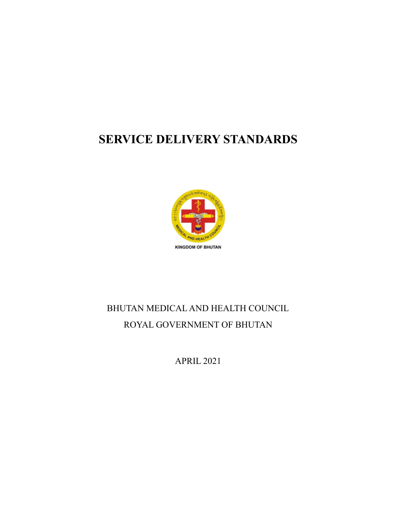### **SERVICE DELIVERY STANDARDS**



# BHUTAN MEDICAL AND HEALTH COUNCIL ROYAL GOVERNMENT OF BHUTAN

APRIL 2021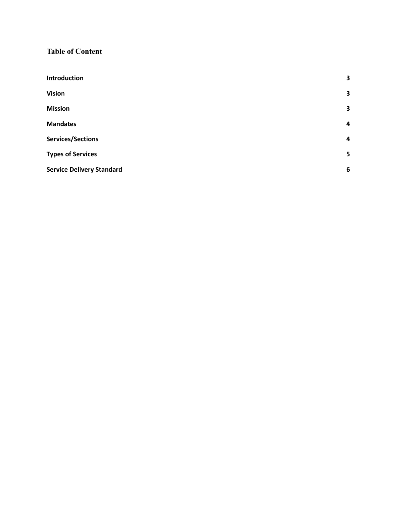#### **Table of Content**

| Introduction                     | 3                       |
|----------------------------------|-------------------------|
| <b>Vision</b>                    | 3                       |
| <b>Mission</b>                   | 3                       |
| <b>Mandates</b>                  | $\overline{\mathbf{4}}$ |
| Services/Sections                | 4                       |
| <b>Types of Services</b>         | 5                       |
| <b>Service Delivery Standard</b> | 6                       |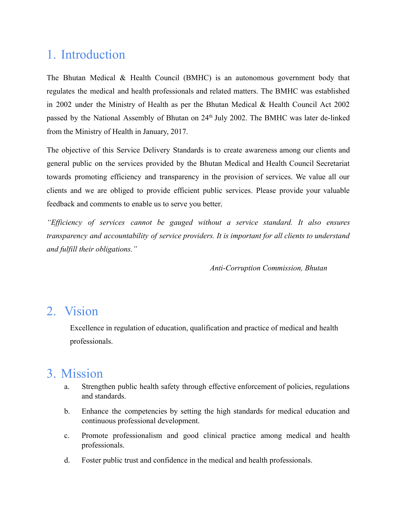# <span id="page-2-0"></span>1. Introduction

The Bhutan Medical & Health Council (BMHC) is an autonomous government body that regulates the medical and health professionals and related matters. The BMHC was established in 2002 under the Ministry of Health as per the Bhutan Medical & Health Council Act 2002 passed by the National Assembly of Bhutan on 24<sup>th</sup> July 2002. The BMHC was later de-linked from the Ministry of Health in January, 2017.

The objective of this Service Delivery Standards is to create awareness among our clients and general public on the services provided by the Bhutan Medical and Health Council Secretariat towards promoting efficiency and transparency in the provision of services. We value all our clients and we are obliged to provide efficient public services. Please provide your valuable feedback and comments to enable us to serve you better.

*"Efficiency of services cannot be gauged without a service standard. It also ensures transparency and accountability of service providers. It is important for all clients to understand and fulfill their obligations."*

*Anti-Corruption Commission, Bhutan*

#### <span id="page-2-1"></span>2. Vision

Excellence in regulation of education, qualification and practice of medical and health professionals.

#### <span id="page-2-2"></span>3. Mission

- a. Strengthen public health safety through effective enforcement of policies, regulations and standards.
- b. Enhance the competencies by setting the high standards for medical education and continuous professional development.
- c. Promote professionalism and good clinical practice among medical and health professionals.
- d. Foster public trust and confidence in the medical and health professionals.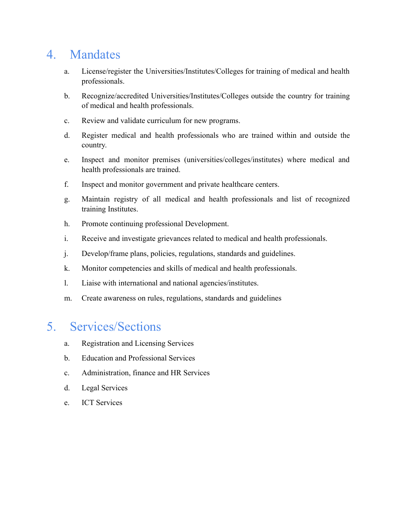# <span id="page-3-0"></span>4. Mandates

- a. License/register the Universities/Institutes/Colleges for training of medical and health professionals.
- b. Recognize/accredited Universities/Institutes/Colleges outside the country for training of medical and health professionals.
- c. Review and validate curriculum for new programs.
- d. Register medical and health professionals who are trained within and outside the country.
- e. Inspect and monitor premises (universities/colleges/institutes) where medical and health professionals are trained.
- f. Inspect and monitor government and private healthcare centers.
- g. Maintain registry of all medical and health professionals and list of recognized training Institutes.
- h. Promote continuing professional Development.
- i. Receive and investigate grievances related to medical and health professionals.
- j. Develop/frame plans, policies, regulations, standards and guidelines.
- k. Monitor competencies and skills of medical and health professionals.
- l. Liaise with international and national agencies/institutes.
- m. Create awareness on rules, regulations, standards and guidelines

#### <span id="page-3-1"></span>5. Services/Sections

- a. Registration and Licensing Services
- b. Education and Professional Services
- c. Administration, finance and HR Services
- d. Legal Services
- e. ICT Services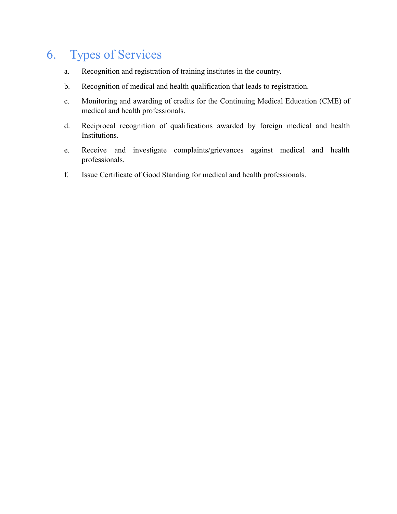# <span id="page-4-0"></span>6. Types of Services

- a. Recognition and registration of training institutes in the country.
- b. Recognition of medical and health qualification that leads to registration.
- c. Monitoring and awarding of credits for the Continuing Medical Education (CME) of medical and health professionals.
- d. Reciprocal recognition of qualifications awarded by foreign medical and health Institutions.
- e. Receive and investigate complaints/grievances against medical and health professionals.
- f. Issue Certificate of Good Standing for medical and health professionals.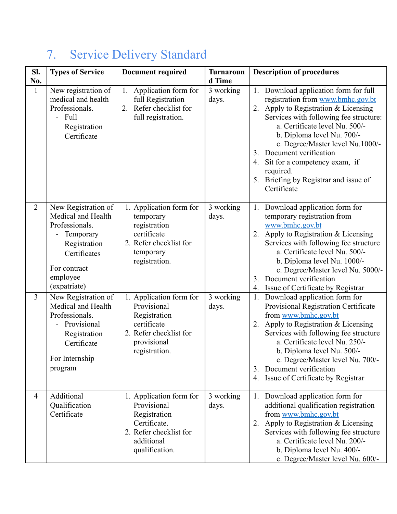| Sl.<br>No.     | <b>Types of Service</b>                                                                                                                              | <b>Document required</b>                                                                                                         | <b>Turnaroun</b><br>d Time | <b>Description of procedures</b>                                                                                                                                                                                                                                                                                                                                                                                  |
|----------------|------------------------------------------------------------------------------------------------------------------------------------------------------|----------------------------------------------------------------------------------------------------------------------------------|----------------------------|-------------------------------------------------------------------------------------------------------------------------------------------------------------------------------------------------------------------------------------------------------------------------------------------------------------------------------------------------------------------------------------------------------------------|
| $\mathbf{1}$   | New registration of<br>medical and health<br>Professionals.<br>- Full<br>Registration<br>Certificate                                                 | Application form for<br>1.<br>full Registration<br>Refer checklist for<br>2.<br>full registration.                               | 3 working<br>days.         | 1. Download application form for full<br>registration from www.bmhc.gov.bt<br>Apply to Registration & Licensing<br>2.<br>Services with following fee structure:<br>a. Certificate level Nu. 500/-<br>b. Diploma level Nu. 700/-<br>c. Degree/Master level Nu.1000/-<br>Document verification<br>3.<br>Sit for a competency exam, if<br>4.<br>required.<br>Briefing by Registrar and issue of<br>5.<br>Certificate |
| $\overline{2}$ | New Registration of<br>Medical and Health<br>Professionals.<br>Temporary<br>Registration<br>Certificates<br>For contract<br>employee<br>(expatriate) | 1. Application form for<br>temporary<br>registration<br>certificate<br>2. Refer checklist for<br>temporary<br>registration.      | 3 working<br>days.         | Download application form for<br>1.<br>temporary registration from<br>www.bmhc.gov.bt<br>2. Apply to Registration & Licensing<br>Services with following fee structure<br>a. Certificate level Nu. 500/-<br>b. Diploma level Nu. 1000/-<br>c. Degree/Master level Nu. 5000/-<br>Document verification<br>3.<br>Issue of Certificate by Registrar<br>4.                                                            |
| $\overline{3}$ | New Registration of<br>Medical and Health<br>Professionals.<br>Provisional<br>Registration<br>Certificate<br>For Internship<br>program               | 1. Application form for<br>Provisional<br>Registration<br>certificate<br>2. Refer checklist for<br>provisional<br>registration.  | 3 working<br>days.         | 1.<br>Download application form for<br>Provisional Registration Certificate<br>from www.bmhc.gov.bt<br>Apply to Registration & Licensing<br>2.<br>Services with following fee structure<br>a. Certificate level Nu. 250/-<br>b. Diploma level Nu. 500/-<br>c. Degree/Master level Nu. 700/-<br>Document verification<br>3.<br>4. Issue of Certificate by Registrar                                                |
| $\overline{4}$ | Additional<br>Qualification<br>Certificate                                                                                                           | 1. Application form for<br>Provisional<br>Registration<br>Certificate.<br>2. Refer checklist for<br>additional<br>qualification. | 3 working<br>days.         | 1. Download application form for<br>additional qualification registration<br>from www.bmhc.gov.bt<br>Apply to Registration & Licensing<br>2.<br>Services with following fee structure<br>a. Certificate level Nu. 200/-<br>b. Diploma level Nu. 400/-<br>c. Degree/Master level Nu. 600/-                                                                                                                         |

# <span id="page-5-0"></span>7. Service Delivery Standard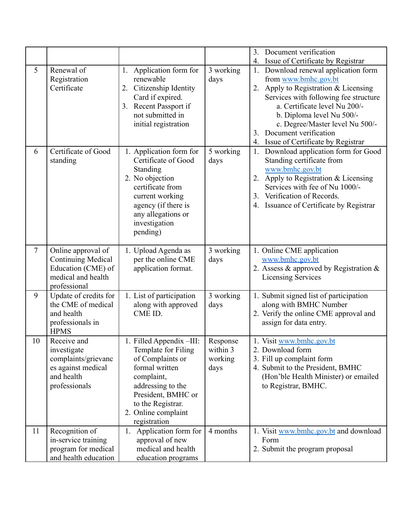|                |                                                                                                             |                                                                                                                                                                                                            |                                         | 3. Document verification                                                                                                                                                                                                                                                                                                                                            |
|----------------|-------------------------------------------------------------------------------------------------------------|------------------------------------------------------------------------------------------------------------------------------------------------------------------------------------------------------------|-----------------------------------------|---------------------------------------------------------------------------------------------------------------------------------------------------------------------------------------------------------------------------------------------------------------------------------------------------------------------------------------------------------------------|
| 5              | Renewal of<br>Registration<br>Certificate                                                                   | Application form for<br>1.<br>renewable<br>Citizenship Identity<br>2.<br>Card if expired.<br>3. Recent Passport if<br>not submitted in<br>initial registration                                             | 3 working<br>days                       | Issue of Certificate by Registrar<br>4.<br>Download renewal application form<br>from www.bmhc.gov.bt<br>Apply to Registration & Licensing<br>2.<br>Services with following fee structure<br>a. Certificate level Nu 200/-<br>b. Diploma level Nu 500/-<br>c. Degree/Master level Nu 500/-<br>Document verification<br>3.<br>Issue of Certificate by Registrar<br>4. |
| 6              | Certificate of Good<br>standing                                                                             | 1. Application form for<br>Certificate of Good<br>Standing<br>2. No objection<br>certificate from<br>current working<br>agency (if there is<br>any allegations or<br>investigation<br>pending)             | 5 working<br>days                       | Download application form for Good<br>$1_{\cdot}$<br>Standing certificate from<br>www.bmhc.gov.bt<br>Apply to Registration & Licensing<br>2.<br>Services with fee of Nu 1000/-<br>Verification of Records.<br>3 <sub>1</sub><br>4. Issuance of Certificate by Registrar                                                                                             |
| $\overline{7}$ | Online approval of<br><b>Continuing Medical</b><br>Education (CME) of<br>medical and health<br>professional | 1. Upload Agenda as<br>per the online CME<br>application format.                                                                                                                                           | 3 working<br>days                       | 1. Online CME application<br>www.bmhc.gov.bt<br>2. Assess & approved by Registration &<br><b>Licensing Services</b>                                                                                                                                                                                                                                                 |
| 9              | Update of credits for<br>the CME of medical<br>and health<br>professionals in<br><b>HPMS</b>                | 1. List of participation<br>along with approved<br>CME ID.                                                                                                                                                 | 3 working<br>days                       | 1. Submit signed list of participation<br>along with BMHC Number<br>2. Verify the online CME approval and<br>assign for data entry.                                                                                                                                                                                                                                 |
| 10             | Receive and<br>investigate<br>complaints/grievanc<br>es against medical<br>and health<br>professionals      | 1. Filled Appendix -III:<br>Template for Filing<br>of Complaints or<br>formal written<br>complaint,<br>addressing to the<br>President, BMHC or<br>to the Registrar.<br>2. Online complaint<br>registration | Response<br>within 3<br>working<br>days | 1. Visit www.bmhc.gov.bt<br>2. Download form<br>3. Fill up complaint form<br>4. Submit to the President, BMHC<br>(Hon'ble Health Minister) or emailed<br>to Registrar, BMHC.                                                                                                                                                                                        |
| 11             | Recognition of<br>in-service training<br>program for medical<br>and health education                        | Application form for<br>1.<br>approval of new<br>medical and health<br>education programs                                                                                                                  | 4 months                                | 1. Visit www.bmhc.gov.bt and download<br>Form<br>2. Submit the program proposal                                                                                                                                                                                                                                                                                     |